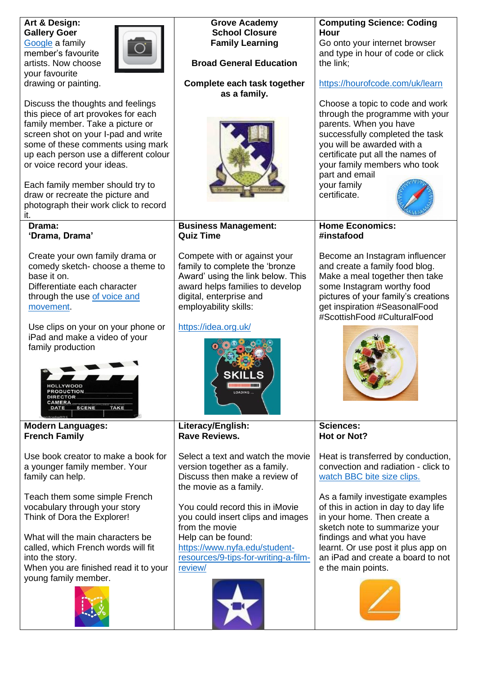| Art & Design:<br><b>Gallery Goer</b><br>Google a family<br>member's favourite<br>artists. Now choose<br>your favourite<br>drawing or painting.<br>Discuss the thoughts and feelings<br>this piece of art provokes for each<br>family member. Take a picture or<br>screen shot on your I-pad and write<br>some of these comments using mark<br>up each person use a different colour<br>or voice record your ideas.<br>Each family member should try to<br>draw or recreate the picture and<br>photograph their work click to record | <b>Grove Academy</b><br><b>School Closure</b><br><b>Family Learning</b><br><b>Broad General Education</b><br>Complete each task together<br>as a family.                              | <b>Computing Science: Coding</b><br>Hour<br>Go onto your internet browser<br>and type in hour of code or click<br>the link;<br>https://hourofcode.com/uk/learn<br>Choose a topic to code and work<br>through the programme with your<br>parents. When you have<br>successfully completed the task<br>you will be awarded with a<br>certificate put all the names of<br>your family members who took<br>part and email<br>your family<br>certificate. |
|-------------------------------------------------------------------------------------------------------------------------------------------------------------------------------------------------------------------------------------------------------------------------------------------------------------------------------------------------------------------------------------------------------------------------------------------------------------------------------------------------------------------------------------|---------------------------------------------------------------------------------------------------------------------------------------------------------------------------------------|------------------------------------------------------------------------------------------------------------------------------------------------------------------------------------------------------------------------------------------------------------------------------------------------------------------------------------------------------------------------------------------------------------------------------------------------------|
| it.                                                                                                                                                                                                                                                                                                                                                                                                                                                                                                                                 |                                                                                                                                                                                       |                                                                                                                                                                                                                                                                                                                                                                                                                                                      |
| Drama:<br>'Drama, Drama'<br>Create your own family drama or                                                                                                                                                                                                                                                                                                                                                                                                                                                                         | <b>Business Management:</b><br><b>Quiz Time</b><br>Compete with or against your                                                                                                       | <b>Home Economics:</b><br>#instafood<br>Become an Instagram influencer                                                                                                                                                                                                                                                                                                                                                                               |
| comedy sketch-choose a theme to<br>base it on.<br>Differentiate each character<br>through the use of voice and<br>movement.                                                                                                                                                                                                                                                                                                                                                                                                         | family to complete the 'bronze<br>Award' using the link below. This<br>award helps families to develop<br>digital, enterprise and<br>employability skills:                            | and create a family food blog.<br>Make a meal together then take<br>some Instagram worthy food<br>pictures of your family's creations<br>get inspiration #SeasonalFood<br>#ScottishFood #CulturalFood                                                                                                                                                                                                                                                |
| Use clips on your on your phone or<br>iPad and make a video of your<br>family production<br>YWOOD<br><b>RODUCTION</b><br>DIRECTOR<br><b>SCENE</b><br><b>TAKE</b><br>DATE                                                                                                                                                                                                                                                                                                                                                            | https://idea.org.uk/<br><b>SKILLS</b><br>LOADING                                                                                                                                      |                                                                                                                                                                                                                                                                                                                                                                                                                                                      |
| <b>Modern Languages:</b><br><b>French Family</b>                                                                                                                                                                                                                                                                                                                                                                                                                                                                                    | Literacy/English:<br><b>Rave Reviews.</b>                                                                                                                                             | <b>Sciences:</b><br><b>Hot or Not?</b>                                                                                                                                                                                                                                                                                                                                                                                                               |
| Use book creator to make a book for<br>a younger family member. Your<br>family can help.                                                                                                                                                                                                                                                                                                                                                                                                                                            | Select a text and watch the movie<br>version together as a family.<br>Discuss then make a review of<br>the movie as a family.                                                         | Heat is transferred by conduction,<br>convection and radiation - click to<br>watch BBC bite size clips.                                                                                                                                                                                                                                                                                                                                              |
| Teach them some simple French<br>vocabulary through your story<br>Think of Dora the Explorer!<br>What will the main characters be<br>called, which French words will fit<br>into the story.                                                                                                                                                                                                                                                                                                                                         | You could record this in iMovie<br>you could insert clips and images<br>from the movie<br>Help can be found:<br>https://www.nyfa.edu/student-<br>resources/9-tips-for-writing-a-film- | As a family investigate examples<br>of this in action in day to day life<br>in your home. Then create a<br>sketch note to summarize your<br>findings and what you have<br>learnt. Or use post it plus app on<br>an iPad and create a board to not                                                                                                                                                                                                    |
| When you are finished read it to your<br>young family member.                                                                                                                                                                                                                                                                                                                                                                                                                                                                       | review/                                                                                                                                                                               | e the main points.                                                                                                                                                                                                                                                                                                                                                                                                                                   |